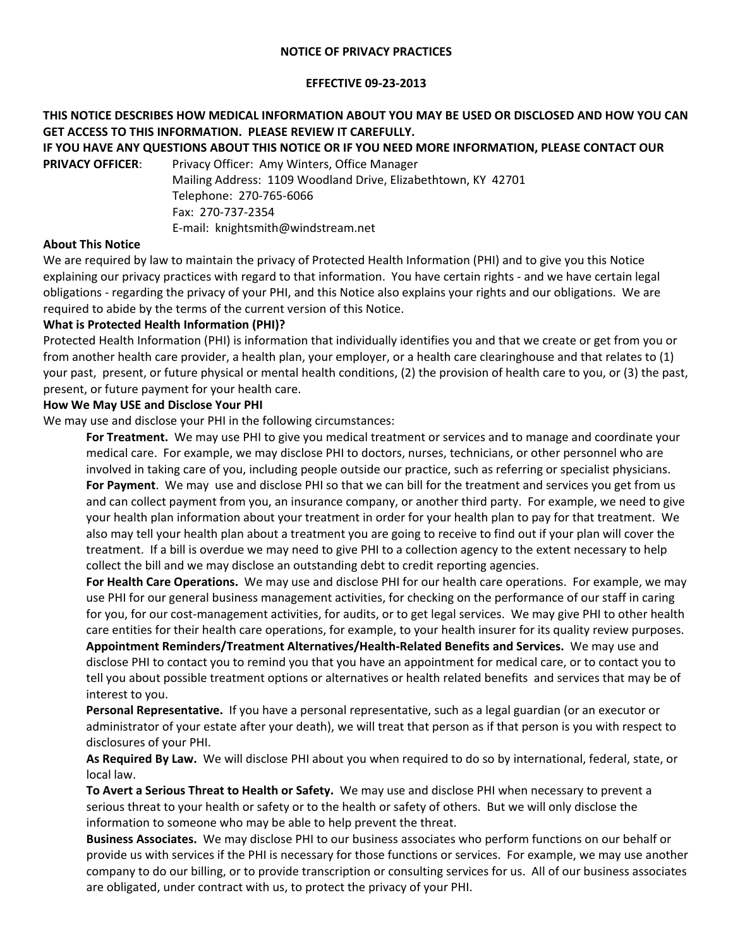### **NOTICE OF PRIVACY PRACTICES**

### **EFFECTIVE 09-23-2013**

# **THIS NOTICE DESCRIBES HOW MEDICAL INFORMATION ABOUT YOU MAY BE USED OR DISCLOSED AND HOW YOU CAN GET ACCESS TO THIS INFORMATION. PLEASE REVIEW IT CAREFULLY.**

**IF YOU HAVE ANY QUESTIONS ABOUT THIS NOTICE OR IF YOU NEED MORE INFORMATION, PLEASE CONTACT OUR PRIVACY OFFICER:** Privacy Officer: Amy Winters, Office Manager

Mailing Address: 1109 Woodland Drive, Elizabethtown, KY 42701 Telephone: 270-765-6066 Fax: 270-737-2354 E-mail: knightsmith@windstream.net

# **About This Notice**

We are required by law to maintain the privacy of Protected Health Information (PHI) and to give you this Notice explaining our privacy practices with regard to that information. You have certain rights - and we have certain legal obligations - regarding the privacy of your PHI, and this Notice also explains your rights and our obligations. We are required to abide by the terms of the current version of this Notice.

# **What is Protected Health Information (PHI)?**

Protected Health Information (PHI) is information that individually identifies you and that we create or get from you or from another health care provider, a health plan, your employer, or a health care clearinghouse and that relates to (1) your past, present, or future physical or mental health conditions, (2) the provision of health care to you, or (3) the past, present, or future payment for your health care.

# **How We May USE and Disclose Your PHI**

We may use and disclose your PHI in the following circumstances:

**For Treatment.** We may use PHI to give you medical treatment or services and to manage and coordinate your medical care. For example, we may disclose PHI to doctors, nurses, technicians, or other personnel who are involved in taking care of you, including people outside our practice, such as referring or specialist physicians. **For Payment**. We may use and disclose PHI so that we can bill for the treatment and services you get from us and can collect payment from you, an insurance company, or another third party. For example, we need to give your health plan information about your treatment in order for your health plan to pay for that treatment. We also may tell your health plan about a treatment you are going to receive to find out if your plan will cover the treatment. If a bill is overdue we may need to give PHI to a collection agency to the extent necessary to help collect the bill and we may disclose an outstanding debt to credit reporting agencies.

**For Health Care Operations.** We may use and disclose PHI for our health care operations. For example, we may use PHI for our general business management activities, for checking on the performance of our staff in caring for you, for our cost-management activities, for audits, or to get legal services. We may give PHI to other health care entities for their health care operations, for example, to your health insurer for its quality review purposes. **Appointment Reminders/Treatment Alternatives/Health-Related Benefits and Services.** We may use and

disclose PHI to contact you to remind you that you have an appointment for medical care, or to contact you to tell you about possible treatment options or alternatives or health related benefits and services that may be of interest to you.

**Personal Representative.** If you have a personal representative, such as a legal guardian (or an executor or administrator of your estate after your death), we will treat that person as if that person is you with respect to disclosures of your PHI.

**As Required By Law.** We will disclose PHI about you when required to do so by international, federal, state, or local law.

**To Avert a Serious Threat to Health or Safety.** We may use and disclose PHI when necessary to prevent a serious threat to your health or safety or to the health or safety of others. But we will only disclose the information to someone who may be able to help prevent the threat.

**Business Associates.** We may disclose PHI to our business associates who perform functions on our behalf or provide us with services if the PHI is necessary for those functions or services. For example, we may use another company to do our billing, or to provide transcription or consulting services for us. All of our business associates are obligated, under contract with us, to protect the privacy of your PHI.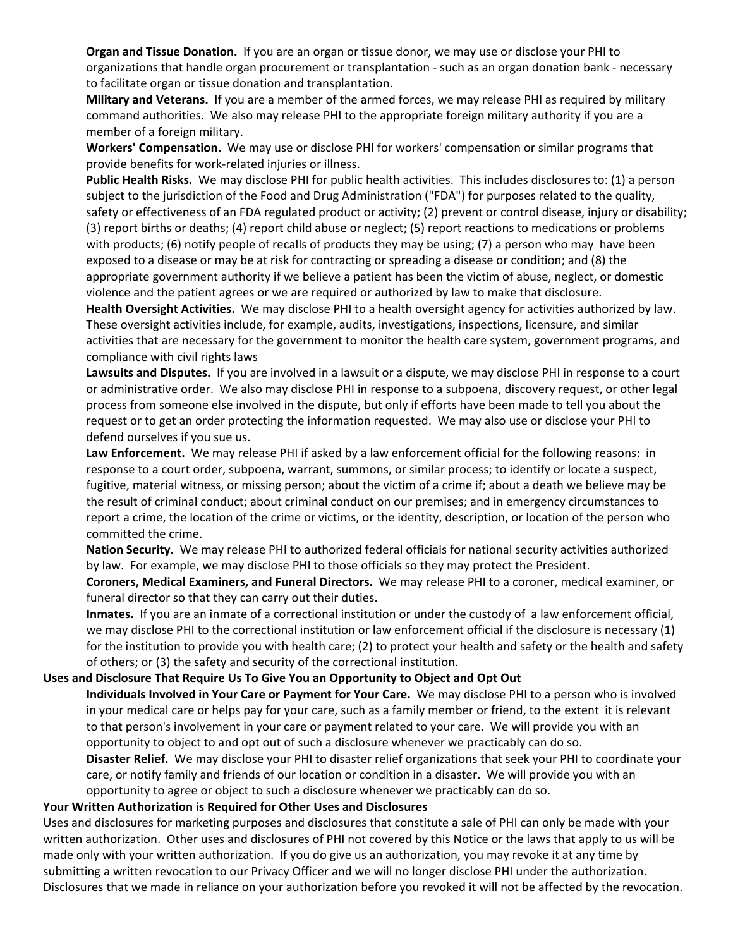**Organ and Tissue Donation.** If you are an organ or tissue donor, we may use or disclose your PHI to organizations that handle organ procurement or transplantation - such as an organ donation bank - necessary to facilitate organ or tissue donation and transplantation.

**Military and Veterans.** If you are a member of the armed forces, we may release PHI as required by military command authorities. We also may release PHI to the appropriate foreign military authority if you are a member of a foreign military.

**Workers' Compensation.** We may use or disclose PHI for workers' compensation or similar programs that provide benefits for work-related injuries or illness.

**Public Health Risks.** We may disclose PHI for public health activities. This includes disclosures to: (1) a person subject to the jurisdiction of the Food and Drug Administration ("FDA") for purposes related to the quality, safety or effectiveness of an FDA regulated product or activity; (2) prevent or control disease, injury or disability; (3) report births or deaths; (4) report child abuse or neglect; (5) report reactions to medications or problems with products; (6) notify people of recalls of products they may be using; (7) a person who may have been exposed to a disease or may be at risk for contracting or spreading a disease or condition; and (8) the appropriate government authority if we believe a patient has been the victim of abuse, neglect, or domestic violence and the patient agrees or we are required or authorized by law to make that disclosure.

**Health Oversight Activities.** We may disclose PHI to a health oversight agency for activities authorized by law. These oversight activities include, for example, audits, investigations, inspections, licensure, and similar activities that are necessary for the government to monitor the health care system, government programs, and compliance with civil rights laws

**Lawsuits and Disputes.** If you are involved in a lawsuit or a dispute, we may disclose PHI in response to a court or administrative order. We also may disclose PHI in response to a subpoena, discovery request, or other legal process from someone else involved in the dispute, but only if efforts have been made to tell you about the request or to get an order protecting the information requested. We may also use or disclose your PHI to defend ourselves if you sue us.

**Law Enforcement.** We may release PHI if asked by a law enforcement official for the following reasons: in response to a court order, subpoena, warrant, summons, or similar process; to identify or locate a suspect, fugitive, material witness, or missing person; about the victim of a crime if; about a death we believe may be the result of criminal conduct; about criminal conduct on our premises; and in emergency circumstances to report a crime, the location of the crime or victims, or the identity, description, or location of the person who committed the crime.

**Nation Security.** We may release PHI to authorized federal officials for national security activities authorized by law. For example, we may disclose PHI to those officials so they may protect the President.

**Coroners, Medical Examiners, and Funeral Directors.** We may release PHI to a coroner, medical examiner, or funeral director so that they can carry out their duties.

**Inmates.** If you are an inmate of a correctional institution or under the custody of a law enforcement official, we may disclose PHI to the correctional institution or law enforcement official if the disclosure is necessary (1) for the institution to provide you with health care; (2) to protect your health and safety or the health and safety of others; or (3) the safety and security of the correctional institution.

# **Uses and Disclosure That Require Us To Give You an Opportunity to Object and Opt Out**

**Individuals Involved in Your Care or Payment for Your Care.** We may disclose PHI to a person who is involved in your medical care or helps pay for your care, such as a family member or friend, to the extent it is relevant to that person's involvement in your care or payment related to your care. We will provide you with an opportunity to object to and opt out of such a disclosure whenever we practicably can do so.

**Disaster Relief.** We may disclose your PHI to disaster relief organizations that seek your PHI to coordinate your care, or notify family and friends of our location or condition in a disaster. We will provide you with an opportunity to agree or object to such a disclosure whenever we practicably can do so.

#### **Your Written Authorization is Required for Other Uses and Disclosures**

Uses and disclosures for marketing purposes and disclosures that constitute a sale of PHI can only be made with your written authorization. Other uses and disclosures of PHI not covered by this Notice or the laws that apply to us will be made only with your written authorization. If you do give us an authorization, you may revoke it at any time by submitting a written revocation to our Privacy Officer and we will no longer disclose PHI under the authorization. Disclosures that we made in reliance on your authorization before you revoked it will not be affected by the revocation.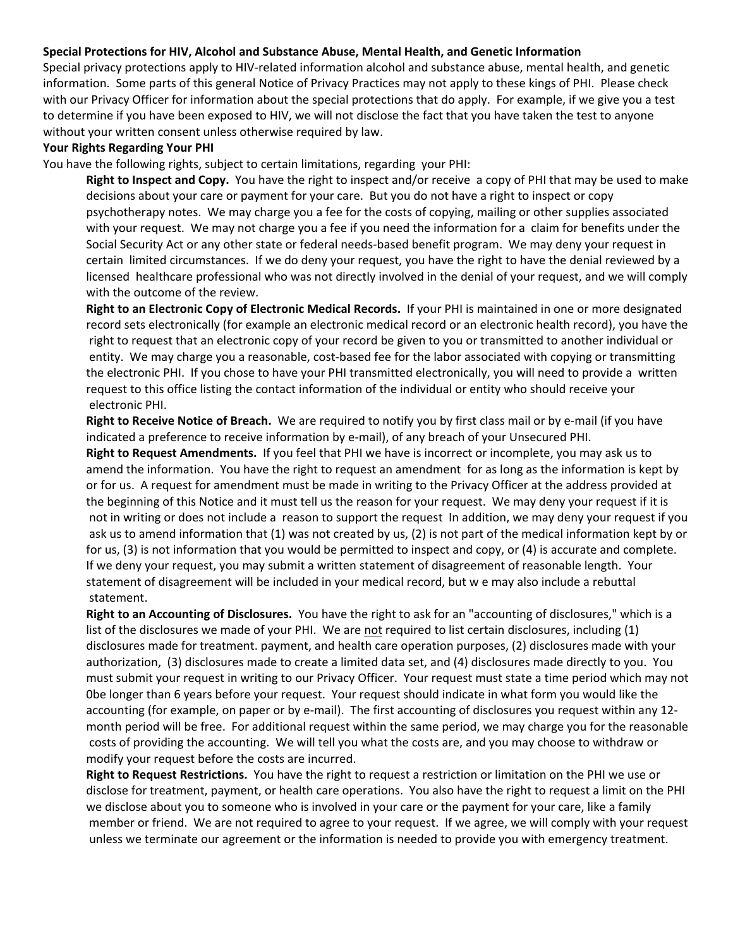### **Special Protections for HIV, Alcohol and Substance Abuse, Mental Health, and Genetic Information**

Special privacy protections apply to HIV-related information alcohol and substance abuse, mental health, and genetic information. Some parts of this general Notice of Privacy Practices may not apply to these kings of PHI. Please check with our Privacy Officer for information about the special protections that do apply. For example, if we give you a test to determine if you have been exposed to HIV, we will not disclose the fact that you have taken the test to anyone without your written consent unless otherwise required by law.

#### **Your Rights Regarding Your PHI**

You have the following rights, subject to certain limitations, regarding your PHI:

**Right to Inspect and Copy.** You have the right to inspect and/or receive a copy of PHI that may be used to make decisions about your care or payment for your care. But you do not have a right to inspect or copy psychotherapy notes. We may charge you a fee for the costs of copying, mailing or other supplies associated with your request. We may not charge you a fee if you need the information for a claim for benefits under the Social Security Act or any other state or federal needs-based benefit program. We may deny your request in certain limited circumstances. If we do deny your request, you have the right to have the denial reviewed by a licensed healthcare professional who was not directly involved in the denial of your request, and we will comply with the outcome of the review.

**Right to an Electronic Copy of Electronic Medical Records.** If your PHI is maintained in one or more designated record sets electronically (for example an electronic medical record or an electronic health record), you have the right to request that an electronic copy of your record be given to you or transmitted to another individual or entity. We may charge you a reasonable, cost-based fee for the labor associated with copying or transmitting the electronic PHI. If you chose to have your PHI transmitted electronically, you will need to provide a written request to this office listing the contact information of the individual or entity who should receive your electronic PHI.

**Right to Receive Notice of Breach.** We are required to notify you by first class mail or by e-mail (if you have indicated a preference to receive information by e-mail), of any breach of your Unsecured PHI.

**Right to Request Amendments.** If you feel that PHI we have is incorrect or incomplete, you may ask us to amend the information. You have the right to request an amendment for as long as the information is kept by or for us. A request for amendment must be made in writing to the Privacy Officer at the address provided at the beginning of this Notice and it must tell us the reason for your request. We may deny your request if it is not in writing or does not include a reason to support the request In addition, we may deny your request if you ask us to amend information that (1) was not created by us, (2) is not part of the medical information kept by or for us, (3) is not information that you would be permitted to inspect and copy, or (4) is accurate and complete. If we deny your request, you may submit a written statement of disagreement of reasonable length. Your statement of disagreement will be included in your medical record, but w e may also include a rebuttal statement.

**Right to an Accounting of Disclosures.** You have the right to ask for an "accounting of disclosures," which is a list of the disclosures we made of your PHI. We are not required to list certain disclosures, including (1) disclosures made for treatment. payment, and health care operation purposes, (2) disclosures made with your authorization, (3) disclosures made to create a limited data set, and (4) disclosures made directly to you. You must submit your request in writing to our Privacy Officer. Your request must state a time period which may not 0be longer than 6 years before your request. Your request should indicate in what form you would like the accounting (for example, on paper or by e-mail). The first accounting of disclosures you request within any 12 month period will be free. For additional request within the same period, we may charge you for the reasonable costs of providing the accounting. We will tell you what the costs are, and you may choose to withdraw or modify your request before the costs are incurred.

**Right to Request Restrictions.** You have the right to request a restriction or limitation on the PHI we use or disclose for treatment, payment, or health care operations. You also have the right to request a limit on the PHI we disclose about you to someone who is involved in your care or the payment for your care, like a family member or friend. We are not required to agree to your request. If we agree, we will comply with your request unless we terminate our agreement or the information is needed to provide you with emergency treatment.